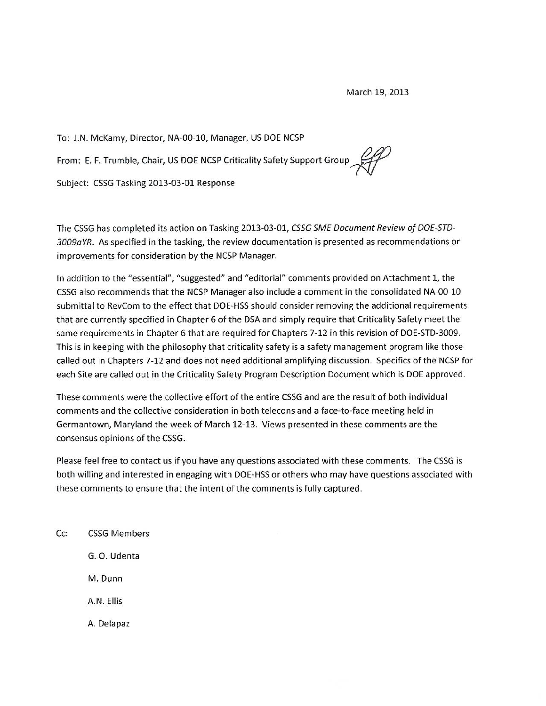To: J.N. McKamy, Director, NA-00-10, Manager, US DOE NCSP From: E. F. Trumble, Chair, US DOE NCSP Criticality Safety Support Group Subject: CSSG Tasking 2013-03-01 Response

The CSSG has completed its action on Tasking 2013-03-01, CSSG SME Document Review of DOE-STD-3009aYR. As specified in the tasking, the review documentation is presented as recommendations or improvements for consideration by the NCSP Manager.

In addition to the "essential", "suggested" and "editorial" comments provided on Attachment 1, the CSSG also recommends that the NCSP Manager also include a comment in the consolidated NA-00-10 submittal to RevCom to the effect that DOE-HSS should consider removing the additional requirements that are currently specified in Chapter 6 of the DSA and simply require that Criticality Safety meet the same requirements in Chapter 6 that are required for Chapters 7-12 in this revision of DOE-STD-3009. This is in keeping with the philosophy that criticality safety is a safety management program like those called out in Chapters 7-12 and does not need additional amplifying discussion. Specifics of the NCSP for each Site are called out in the Criticality Safety Program Description Document which is DOE approved.

These comments were the collective effort of the entire CSSG and are the result of both individual comments and the collective consideration in both telecons and a face-to-face meeting held in Germantown, Maryland the week of March 12-13. Views presented in these comments are the consensus opinions of the CSSG.

Please feel free to contact us if you have any questions associated with these comments. The CSSG is both willing and interested in engaging with DOE-HSS or others who may have questions associated with these comments to ensure that the intent of the comments is fully captured.

Cc: **CSSG Members** G. O. Udenta M. Dunn A.N. Fllis A. Delapaz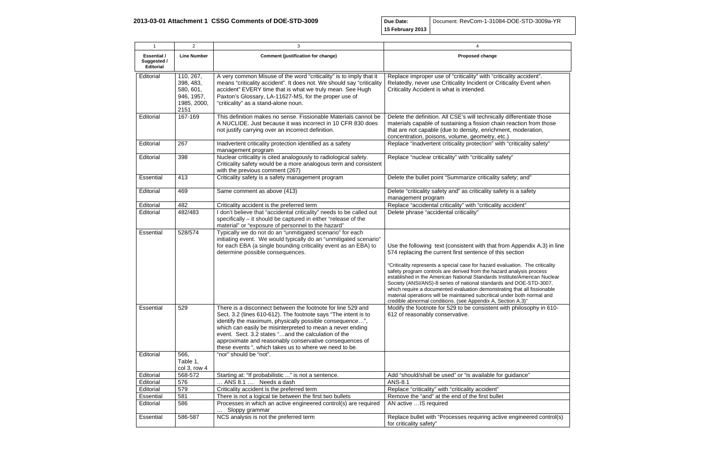**Due Date: 15 February 2013** Document: RevCom-1-31084-DOE-

| $\mathbf{1}$                                          | $\overline{2}$                                                           | 3                                                                                                                                                                                                                                                                                                                                                                                                                                 | $\boldsymbol{\Delta}$                                                                                                                                                                                                                                                                                                                                                                                                                                                                                                                                                                                                                                                    |
|-------------------------------------------------------|--------------------------------------------------------------------------|-----------------------------------------------------------------------------------------------------------------------------------------------------------------------------------------------------------------------------------------------------------------------------------------------------------------------------------------------------------------------------------------------------------------------------------|--------------------------------------------------------------------------------------------------------------------------------------------------------------------------------------------------------------------------------------------------------------------------------------------------------------------------------------------------------------------------------------------------------------------------------------------------------------------------------------------------------------------------------------------------------------------------------------------------------------------------------------------------------------------------|
| <b>Essential /</b><br>Suggested /<br><b>Editorial</b> | <b>Line Number</b>                                                       | <b>Comment (justification for change)</b>                                                                                                                                                                                                                                                                                                                                                                                         | <b>Proposed change</b>                                                                                                                                                                                                                                                                                                                                                                                                                                                                                                                                                                                                                                                   |
| Editorial                                             | 110, 267,<br>398, 483,<br>580, 601,<br>946, 1957,<br>1985, 2000,<br>2151 | A very common Misuse of the word "criticality" is to imply that it<br>means "criticality accident". It does not. We should say "criticality<br>accident" EVERY time that is what we truly mean. See Hugh<br>Paxton's Glossary, LA-11627-MS, for the proper use of<br>"criticality" as a stand-alone noun.                                                                                                                         | Replace improper use of "criticality" with "criticality accident".<br>Relatedly, never use Criticality Incident or Criticality Event when<br>Criticality Accident is what is intended.                                                                                                                                                                                                                                                                                                                                                                                                                                                                                   |
| Editorial                                             | 167-169                                                                  | This definition makes no sense. Fissionable Materials cannot be<br>A NUCLIDE. Just because it was incorrect in 10 CFR 830 does<br>not justify carrying over an incorrect definition.                                                                                                                                                                                                                                              | Delete the definition. All CSE's will technically differentiate those<br>materials capable of sustaining a fission chain reaction from those<br>that are not capable (due to density, enrichment, moderation,<br>concentration, poisons, volume, geometry, etc.)                                                                                                                                                                                                                                                                                                                                                                                                         |
| Editorial                                             | 267                                                                      | Inadvertent criticality protection identified as a safety<br>management program                                                                                                                                                                                                                                                                                                                                                   | Replace "inadvertent criticality protection" with "criticality safety"                                                                                                                                                                                                                                                                                                                                                                                                                                                                                                                                                                                                   |
| Editorial                                             | 398                                                                      | Nuclear criticality is cited analogously to radiological safety.<br>Criticality safety would be a more analogous term and consistent<br>with the previous comment (267)                                                                                                                                                                                                                                                           | Replace "nuclear criticality" with "criticality safety"                                                                                                                                                                                                                                                                                                                                                                                                                                                                                                                                                                                                                  |
| Essential                                             | 413                                                                      | Criticality safety is a safety management program                                                                                                                                                                                                                                                                                                                                                                                 | Delete the bullet point "Summarize criticality safety; and"                                                                                                                                                                                                                                                                                                                                                                                                                                                                                                                                                                                                              |
| Editorial                                             | 469                                                                      | Same comment as above (413)                                                                                                                                                                                                                                                                                                                                                                                                       | Delete "criticality safety and" as criticality safety is a safety<br>management program                                                                                                                                                                                                                                                                                                                                                                                                                                                                                                                                                                                  |
| Editorial                                             | 482                                                                      | Criticality accident is the preferred term                                                                                                                                                                                                                                                                                                                                                                                        | Replace "accidental criticality" with "criticality accident"                                                                                                                                                                                                                                                                                                                                                                                                                                                                                                                                                                                                             |
| Editorial                                             | 482/483                                                                  | I don't believe that "accidental criticality" needs to be called out<br>specifically - it should be captured in either "release of the<br>material" or "exposure of personnel to the hazard"                                                                                                                                                                                                                                      | Delete phrase "accidental criticality"                                                                                                                                                                                                                                                                                                                                                                                                                                                                                                                                                                                                                                   |
| Essential                                             | 528/574                                                                  | Typically we do not do an "unmitigated scenario" for each<br>initiating event. We would typically do an "unmitigated scenario"<br>for each EBA (a single bounding criticality event as an EBA) to<br>determine possible consequences.                                                                                                                                                                                             | Use the following text (consistent with that from Appendix A.3) in line<br>574 replacing the current first sentence of this section<br>"Criticality represents a special case for hazard evaluation. The criticality<br>safety program controls are derived from the hazard analysis process<br>established in the American National Standards Institute/American Nuclear<br>Society (ANSI/ANS)-8 series of national standards and DOE-STD-3007,<br>which require a documented evaluation demonstrating that all fissionable<br>material operations will be maintained subcritical under both normal and<br>credible abnormal conditions. (see Appendix A, Section A.3)" |
| Essential                                             | 529                                                                      | There is a disconnect between the footnote for line 529 and<br>Sect. 3.2 (lines 610-612). The footnote says "The intent is to<br>identify the maximum, physically possible consequence",<br>which can easily be misinterpreted to mean a never ending<br>event. Sect. 3.2 states "and the calculation of the<br>approximate and reasonably conservative consequences of<br>these events ", which takes us to where we need to be. | Modify the footnote for 529 to be consistent with philosophy in 610-<br>612 of reasonably conservative.                                                                                                                                                                                                                                                                                                                                                                                                                                                                                                                                                                  |
| Editorial                                             | 566,<br>Table 1,<br>col 3, row 4                                         | "nor" should be "not".                                                                                                                                                                                                                                                                                                                                                                                                            |                                                                                                                                                                                                                                                                                                                                                                                                                                                                                                                                                                                                                                                                          |
| Editorial                                             | 568-572                                                                  | Starting at: "If probabilistic " is not a sentence.                                                                                                                                                                                                                                                                                                                                                                               | Add "should/shall be used" or "is available for guidance"                                                                                                                                                                                                                                                                                                                                                                                                                                                                                                                                                                                                                |
| Editorial                                             | 576                                                                      | ANS 8.1  Needs a dash                                                                                                                                                                                                                                                                                                                                                                                                             | ANS-8.1                                                                                                                                                                                                                                                                                                                                                                                                                                                                                                                                                                                                                                                                  |
| Editorial                                             | 579                                                                      | Criticality accident is the preferred term                                                                                                                                                                                                                                                                                                                                                                                        | Replace "criticality" with "criticality accident"                                                                                                                                                                                                                                                                                                                                                                                                                                                                                                                                                                                                                        |
| Essential                                             | 581                                                                      | There is not a logical tie between the first two bullets                                                                                                                                                                                                                                                                                                                                                                          | Remove the "and" at the end of the first bullet                                                                                                                                                                                                                                                                                                                                                                                                                                                                                                                                                                                                                          |
| Editorial                                             | 586                                                                      | Processes in which an active engineered control(s) are required<br>Sloppy grammar                                                                                                                                                                                                                                                                                                                                                 | AN active IS required                                                                                                                                                                                                                                                                                                                                                                                                                                                                                                                                                                                                                                                    |
| Essential                                             | 586-587                                                                  | NCS analysis is not the preferred term                                                                                                                                                                                                                                                                                                                                                                                            | Replace bullet with "Processes requiring active engineered control(s)<br>for criticality safety"                                                                                                                                                                                                                                                                                                                                                                                                                                                                                                                                                                         |

| .<br>-STD-3009a-YR               |
|----------------------------------|
|                                  |
|                                  |
|                                  |
|                                  |
|                                  |
|                                  |
| $\overline{\text{accident}^n}$ . |
| Event when                       |
|                                  |
|                                  |
|                                  |
| entiate those                    |
| tion from those                  |
| oderation,                       |
|                                  |
| cality safety"                   |
|                                  |
|                                  |
|                                  |
| and"                             |
|                                  |
| safety                           |
|                                  |
| $\overline{\mathfrak{m}''}$      |
|                                  |
|                                  |
|                                  |
|                                  |
|                                  |
| pendix A.3) in line              |
| on                               |
|                                  |
| n. The criticality               |
| ysis process<br>American Nuclear |
| OE-STD-3007,                     |
| at all fissionable               |
| oth normal and                   |
| $(.3)$ "<br>ilosophy in 610-     |
|                                  |
|                                  |
|                                  |
|                                  |
|                                  |
|                                  |
|                                  |
|                                  |
| nce"                             |
|                                  |
|                                  |
|                                  |
|                                  |
| ineered control(s)               |
|                                  |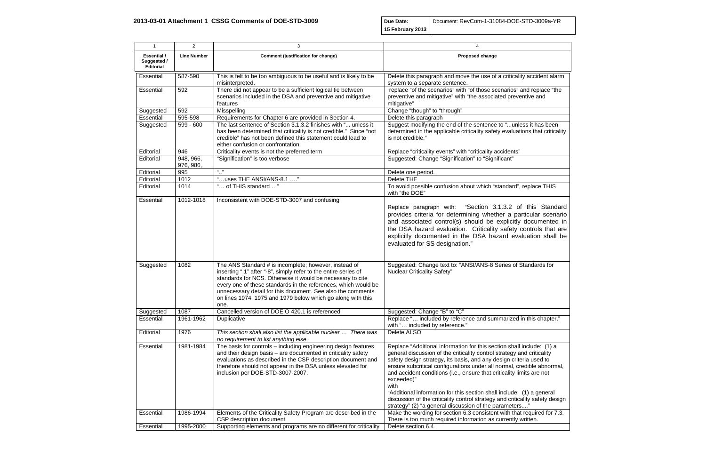**Due Date: 15 February 2013** Document: RevCom-1-31084-DOE-

| $\mathbf{1}$                                          | $\overline{2}$         | 3                                                                                                                                                                                                                                                                                                                                                                                              | 4                                                                                                                                                                                                                                                                                                                                                                                                                                                                                                                                                                                                                 |
|-------------------------------------------------------|------------------------|------------------------------------------------------------------------------------------------------------------------------------------------------------------------------------------------------------------------------------------------------------------------------------------------------------------------------------------------------------------------------------------------|-------------------------------------------------------------------------------------------------------------------------------------------------------------------------------------------------------------------------------------------------------------------------------------------------------------------------------------------------------------------------------------------------------------------------------------------------------------------------------------------------------------------------------------------------------------------------------------------------------------------|
| <b>Essential /</b><br>Suggested /<br><b>Editorial</b> | <b>Line Number</b>     | <b>Comment (justification for change)</b>                                                                                                                                                                                                                                                                                                                                                      | Proposed change                                                                                                                                                                                                                                                                                                                                                                                                                                                                                                                                                                                                   |
| Essential                                             | 587-590                | This is felt to be too ambiguous to be useful and is likely to be<br>misinterpreted.                                                                                                                                                                                                                                                                                                           | Delete this paragraph and move the use of a criticality accident alarm<br>system to a separate sentence.                                                                                                                                                                                                                                                                                                                                                                                                                                                                                                          |
| Essential                                             | 592                    | There did not appear to be a sufficient logical tie between<br>scenarios included in the DSA and preventive and mitigative<br>features                                                                                                                                                                                                                                                         | replace "of the scenarios" with "of those scenarios" and replace "the<br>preventive and mitigative" with "the associated preventive and<br>mitigative"                                                                                                                                                                                                                                                                                                                                                                                                                                                            |
| Suggested                                             | 592                    | Misspelling                                                                                                                                                                                                                                                                                                                                                                                    | Change "though" to "through"                                                                                                                                                                                                                                                                                                                                                                                                                                                                                                                                                                                      |
| Essential                                             | 595-598                | Requirements for Chapter 6 are provided in Section 4.                                                                                                                                                                                                                                                                                                                                          | Delete this paragraph                                                                                                                                                                                                                                                                                                                                                                                                                                                                                                                                                                                             |
| Suggested                                             | 599 - 600              | The last sentence of Section 3.1.3.2 finishes with " unless it<br>has been determined that criticality is not credible." Since "not<br>credible" has not been defined this statement could lead to<br>either confusion or confrontation.                                                                                                                                                       | Suggest modifying the end of the sentence to "unless it has been<br>determined in the applicable criticality safety evaluations that criticality<br>is not credible."                                                                                                                                                                                                                                                                                                                                                                                                                                             |
| Editorial                                             | 946                    | Criticality events is not the preferred term                                                                                                                                                                                                                                                                                                                                                   | Replace "criticality events" with "criticality accidents"                                                                                                                                                                                                                                                                                                                                                                                                                                                                                                                                                         |
| Editorial                                             | 948, 966,<br>976, 986, | "Signification" is too verbose                                                                                                                                                                                                                                                                                                                                                                 | Suggested: Change "Signification" to "Significant"                                                                                                                                                                                                                                                                                                                                                                                                                                                                                                                                                                |
| Editorial                                             | 995                    | 66 99                                                                                                                                                                                                                                                                                                                                                                                          | Delete one period.                                                                                                                                                                                                                                                                                                                                                                                                                                                                                                                                                                                                |
| Editorial                                             | 1012                   | "uses THE ANSI/ANS-8.1 "                                                                                                                                                                                                                                                                                                                                                                       | Delete THE                                                                                                                                                                                                                                                                                                                                                                                                                                                                                                                                                                                                        |
| Editorial                                             | 1014                   | " of THIS standard "                                                                                                                                                                                                                                                                                                                                                                           | To avoid possible confusion about which "standard", replace THIS<br>with "the DOE"                                                                                                                                                                                                                                                                                                                                                                                                                                                                                                                                |
| Essential                                             | 1012-1018              | Inconsistent with DOE-STD-3007 and confusing                                                                                                                                                                                                                                                                                                                                                   | Replace paragraph with: "Section 3.1.3.2 of this Standard<br>provides criteria for determining whether a particular scenario<br>and associated control(s) should be explicitly documented in<br>the DSA hazard evaluation. Criticality safety controls that are<br>explicitly documented in the DSA hazard evaluation shall be<br>evaluated for SS designation."                                                                                                                                                                                                                                                  |
| Suggested                                             | 1082                   | The ANS Standard # is incomplete; however, instead of<br>inserting ".1" after "-8", simply refer to the entire series of<br>standards for NCS. Otherwise it would be necessary to cite<br>every one of these standards in the references, which would be<br>unnecessary detail for this document. See also the comments<br>on lines 1974, 1975 and 1979 below which go along with this<br>one. | Suggested: Change text to: "ANSI/ANS-8 Series of Standards for<br><b>Nuclear Criticality Safety"</b>                                                                                                                                                                                                                                                                                                                                                                                                                                                                                                              |
| Suggested                                             | 1087                   | Cancelled version of DOE O 420.1 is referenced                                                                                                                                                                                                                                                                                                                                                 | Suggested: Change "B" to "C"                                                                                                                                                                                                                                                                                                                                                                                                                                                                                                                                                                                      |
| Essential                                             | 1961-1962              | Duplicative                                                                                                                                                                                                                                                                                                                                                                                    | Replace " included by reference and summarized in this chapter."<br>with " included by reference."                                                                                                                                                                                                                                                                                                                                                                                                                                                                                                                |
| Editorial                                             | 1976                   | This section shall also list the applicable nuclear  There was<br>no requirement to list anything else.                                                                                                                                                                                                                                                                                        | Delete ALSO                                                                                                                                                                                                                                                                                                                                                                                                                                                                                                                                                                                                       |
| Essential                                             | 1981-1984              | The basis for controls - including engineering design features<br>and their design basis - are documented in criticality safety<br>evaluations as described in the CSP description document and<br>therefore should not appear in the DSA unless elevated for<br>inclusion per DOE-STD-3007-2007.                                                                                              | Replace "Additional information for this section shall include: (1) a<br>general discussion of the criticality control strategy and criticality<br>safety design strategy, its basis, and any design criteria used to<br>ensure subcritical configurations under all normal, credible abnormal,<br>and accident conditions (i.e., ensure that criticality limits are not<br>exceeded)"<br>with<br>"Additional information for this section shall include: (1) a general<br>discussion of the criticality control strategy and criticality safety design<br>strategy" (2) "a general discussion of the parameters" |
| Essential                                             | 1986-1994              | Elements of the Criticality Safety Program are described in the<br>CSP description document                                                                                                                                                                                                                                                                                                    | Make the wording for section 6.3 consistent with that required for 7.3.<br>There is too much required information as currently written.                                                                                                                                                                                                                                                                                                                                                                                                                                                                           |
| Essential                                             | 1995-2000              | Supporting elements and programs are no different for criticality                                                                                                                                                                                                                                                                                                                              | Delete section 6.4                                                                                                                                                                                                                                                                                                                                                                                                                                                                                                                                                                                                |

| -STD-3009a-YR                                                                                       |  |
|-----------------------------------------------------------------------------------------------------|--|
|                                                                                                     |  |
|                                                                                                     |  |
|                                                                                                     |  |
| lity accident alarm                                                                                 |  |
| and replace "the<br>entive and                                                                      |  |
| less it has been<br>tions that criticality                                                          |  |
| ,,                                                                                                  |  |
|                                                                                                     |  |
|                                                                                                     |  |
| , replace THIS                                                                                      |  |
| of this Standard<br>articular scenario<br>y documented in<br>controls that are<br>aluation shall be |  |
| Standards for                                                                                       |  |
| in this chapter."                                                                                   |  |
|                                                                                                     |  |
| l include: (1) a                                                                                    |  |
| and criticality                                                                                     |  |
| teria used to<br>redible abnormal,<br>imits are not                                                 |  |
| (1) a general<br>cality safety design<br><u>'s…"</u>                                                |  |
| at required for 7.3.<br>written.                                                                    |  |
|                                                                                                     |  |